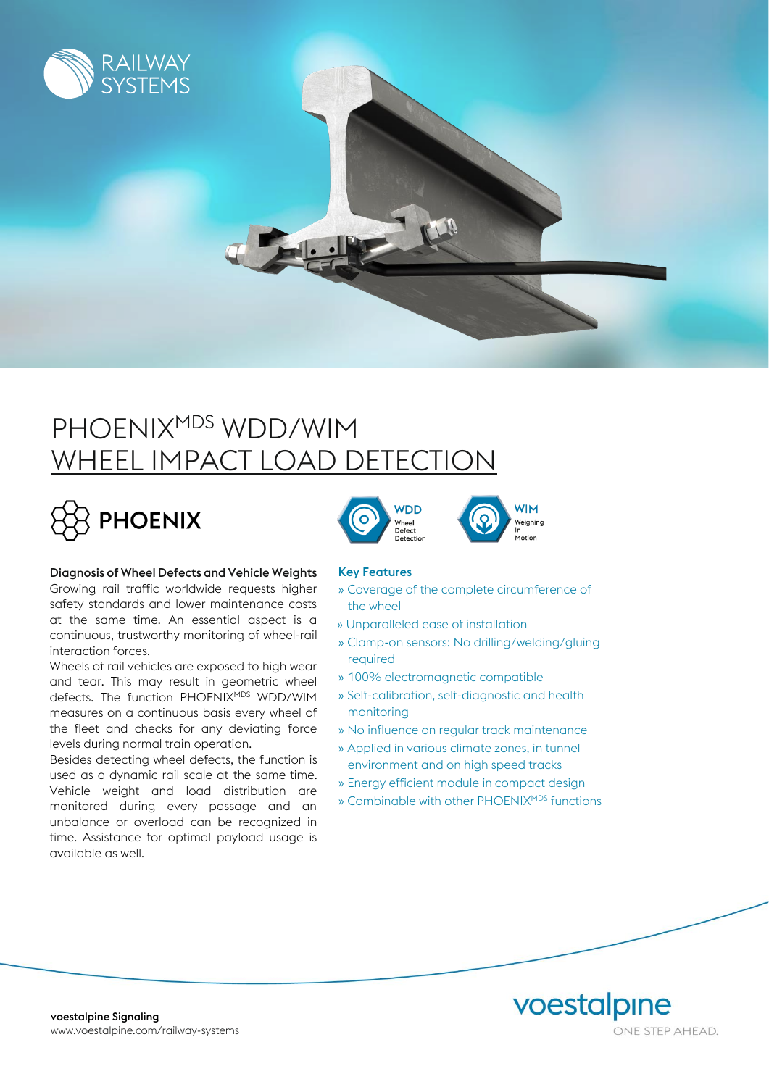

# PHOENIX<sup>MDS</sup> WDD/WIM WHEEL IMPACT LOAD DETECTION



## Diagnosis of Wheel Defects and Vehicle Weights

Growing rail traffic worldwide requests higher safety standards and lower maintenance costs at the same time. An essential aspect is a continuous, trustworthy monitoring of wheel-rail interaction forces.

Wheels of rail vehicles are exposed to high wear and tear. This may result in geometric wheel defects. The function PHOENIXMDS WDD/WIM measures on a continuous basis every wheel of the fleet and checks for any deviating force levels during normal train operation.

Besides detecting wheel defects, the function is used as a dynamic rail scale at the same time. Vehicle weight and load distribution are monitored during every passage and an unbalance or overload can be recognized in time. Assistance for optimal payload usage is available as well.





### Key Features

- » Coverage of the complete circumference of the wheel
- » Unparalleled ease of installation
- » Clamp-on sensors: No drilling/welding/gluing required
- » 100% electromagnetic compatible
- » Self-calibration, self-diagnostic and health monitoring
- » No influence on regular track maintenance
- » Applied in various climate zones, in tunnel environment and on high speed tracks
- » Energy efficient module in compact design
- » Combinable with other PHOENIX<sup>MDS</sup> functions